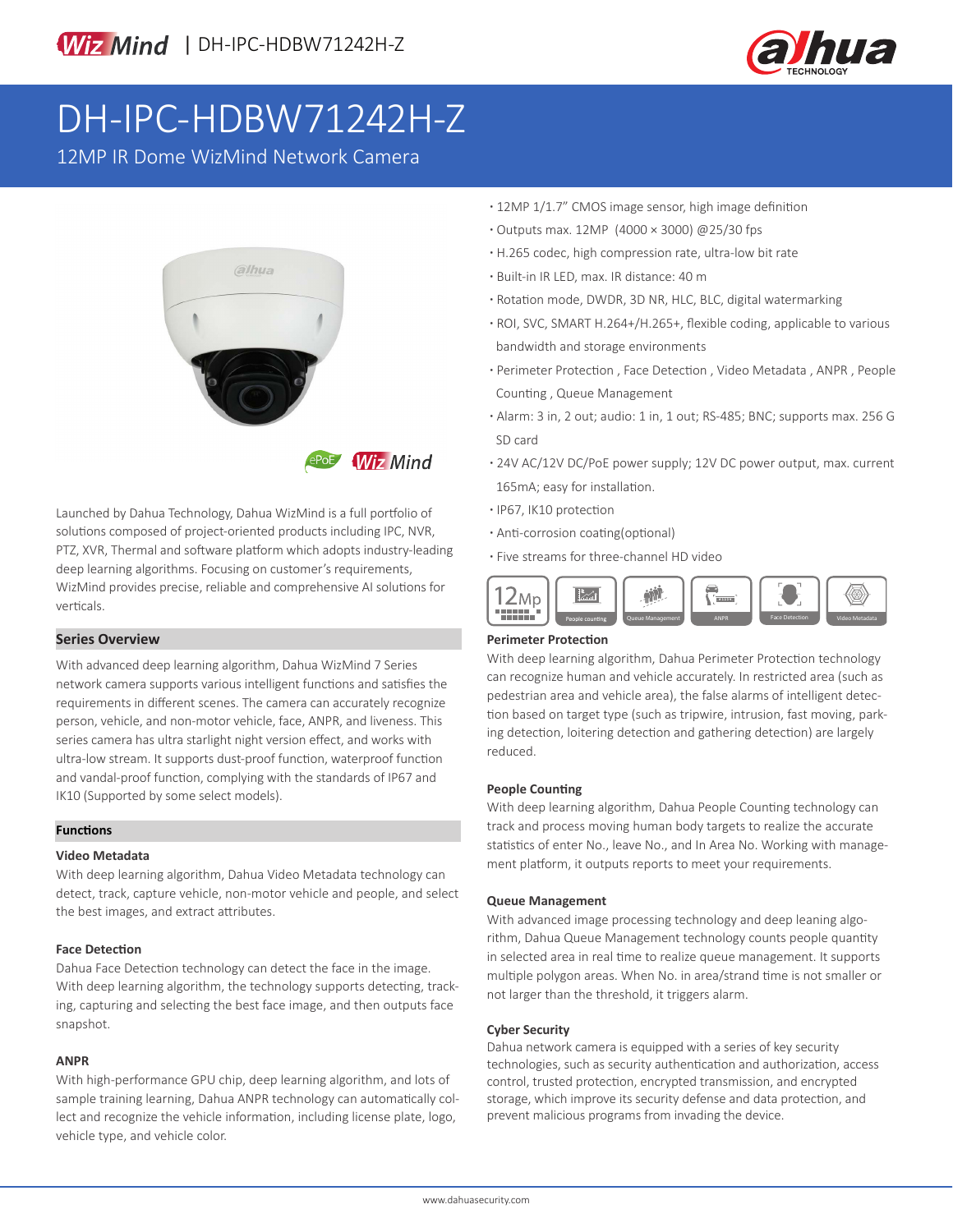

# DH-IPC-HDBW71242H-Z

12MP IR Dome WizMind Network Camera



**Wiz Mind** 

Launched by Dahua Technology, Dahua WizMind is a full portfolio of solutions composed of project-oriented products including IPC, NVR, PTZ, XVR, Thermal and software platform which adopts industry-leading deep learning algorithms. Focusing on customer's requirements, WizMind provides precise, reliable and comprehensive AI solutions for verticals.

### **Series Overview**

With advanced deep learning algorithm, Dahua WizMind 7 Series network camera supports various intelligent functions and satisfies the requirements in different scenes. The camera can accurately recognize person, vehicle, and non-motor vehicle, face, ANPR, and liveness. This series camera has ultra starlight night version effect, and works with ultra-low stream. It supports dust-proof function, waterproof function and vandal-proof function, complying with the standards of IP67 and IK10 (Supported by some select models).

### **Functions**

### **Video Metadata**

With deep learning algorithm, Dahua Video Metadata technology can detect, track, capture vehicle, non-motor vehicle and people, and select the best images, and extract attributes.

### **Face Detection**

Dahua Face Detection technology can detect the face in the image. With deep learning algorithm, the technology supports detecting, tracking, capturing and selecting the best face image, and then outputs face snapshot.

### **ANPR**

With high-performance GPU chip, deep learning algorithm, and lots of sample training learning, Dahua ANPR technology can automatically collect and recognize the vehicle information, including license plate, logo, vehicle type, and vehicle color.

- **·** 12MP 1/1.7" CMOS image sensor, high image definition
- **·** Outputs max. 12MP (4000 × 3000) @25/30 fps
- **·** H.265 codec, high compression rate, ultra-low bit rate
- **·** Built-in IR LED, max. IR distance: 40 m
- **·** Rotation mode, DWDR, 3D NR, HLC, BLC, digital watermarking
- **·** ROI, SVC, SMART H.264+/H.265+, flexible coding, applicable to various bandwidth and storage environments
- **·** Perimeter Protection , Face Detection , Video Metadata , ANPR , People Counting , Queue Management
- **·** Alarm: 3 in, 2 out; audio: 1 in, 1 out; RS-485; BNC; supports max. 256 G SD card
- **·** 24V AC/12V DC/PoE power supply; 12V DC power output, max. current 165mA; easy for installation.
- **·** IP67, IK10 protection
- **·** Anti-corrosion coating(optional)
- **·** Five streams for three-channel HD video



### **Perimeter Protection**

With deep learning algorithm, Dahua Perimeter Protection technology can recognize human and vehicle accurately. In restricted area (such as pedestrian area and vehicle area), the false alarms of intelligent detection based on target type (such as tripwire, intrusion, fast moving, parking detection, loitering detection and gathering detection) are largely reduced.

#### **People Counting**

With deep learning algorithm, Dahua People Counting technology can track and process moving human body targets to realize the accurate statistics of enter No., leave No., and In Area No. Working with management platform, it outputs reports to meet your requirements.

### **Queue Management**

With advanced image processing technology and deep leaning algorithm, Dahua Queue Management technology counts people quantity in selected area in real time to realize queue management. It supports multiple polygon areas. When No. in area/strand time is not smaller or not larger than the threshold, it triggers alarm.

#### **Cyber Security**

Dahua network camera is equipped with a series of key security technologies, such as security authentication and authorization, access control, trusted protection, encrypted transmission, and encrypted storage, which improve its security defense and data protection, and prevent malicious programs from invading the device.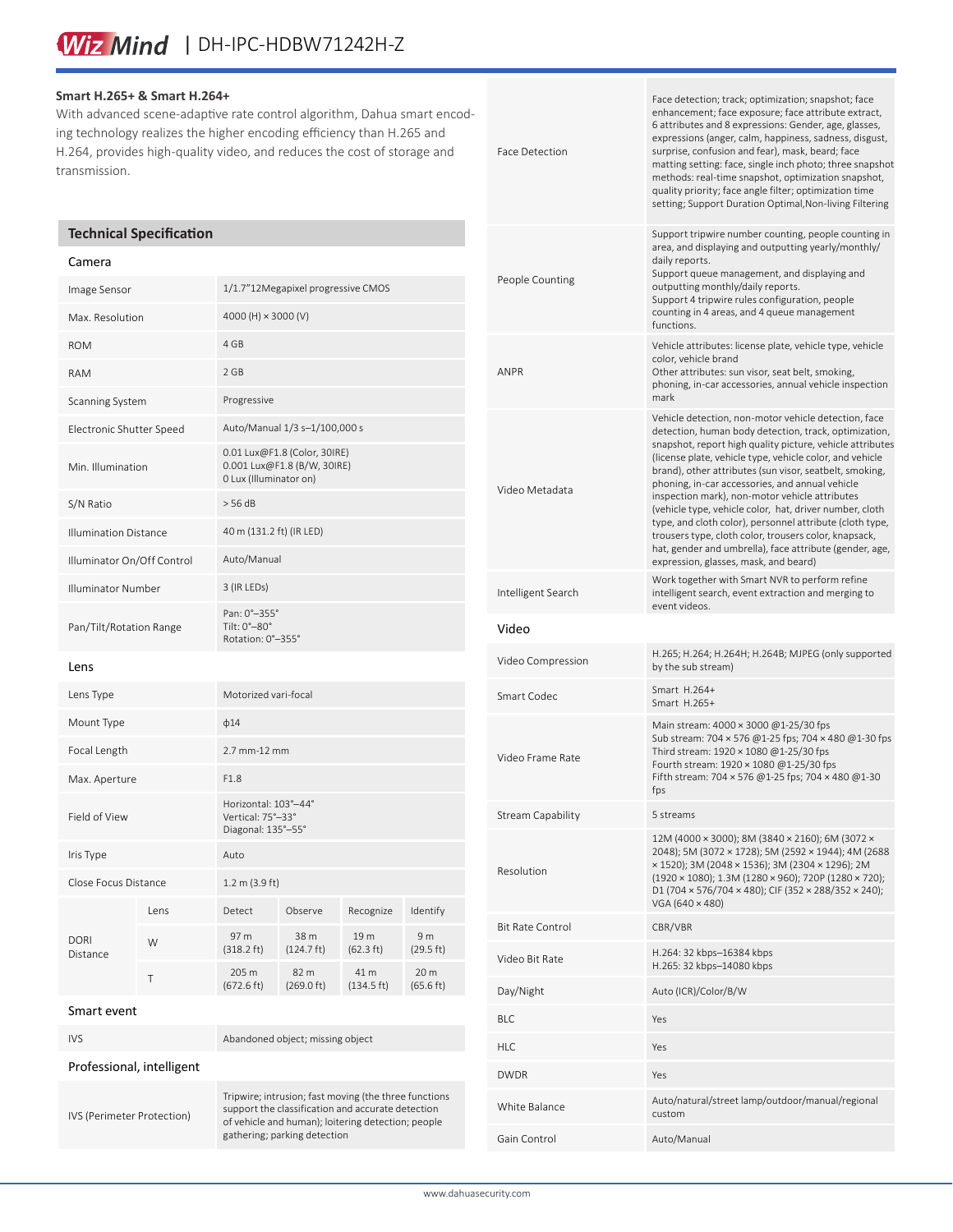# Wiz Mind | DH-IPC-HDBW71242H-Z

### **Smart H.265+ & Smart H.264+**

With advanced scene-adaptive rate control algorithm, Dahua smart encoding technology realizes the higher encoding efficiency than H.265 and H.264, provides high-quality video, and reduces the cost of storage and transmission.

### **Technical Specification**

#### Camera

| Image Sensor                 |      | 1/1.7"12Megapixel progressive CMOS                                                    |                              |                              |                             |
|------------------------------|------|---------------------------------------------------------------------------------------|------------------------------|------------------------------|-----------------------------|
| Max. Resolution              |      | 4000 (H) × 3000 (V)                                                                   |                              |                              |                             |
| <b>ROM</b>                   |      | 4 GB                                                                                  |                              |                              |                             |
| <b>RAM</b>                   |      | 2 GB                                                                                  |                              |                              |                             |
| Scanning System              |      | Progressive                                                                           |                              |                              |                             |
| Electronic Shutter Speed     |      | Auto/Manual 1/3 s-1/100,000 s                                                         |                              |                              |                             |
| Min. Illumination            |      | 0.01 Lux@F1.8 (Color, 30IRE)<br>0.001 Lux@F1.8 (B/W, 30IRE)<br>0 Lux (Illuminator on) |                              |                              |                             |
| S/N Ratio                    |      | > 56 dB                                                                               |                              |                              |                             |
| <b>Illumination Distance</b> |      | 40 m (131.2 ft) (IR LED)                                                              |                              |                              |                             |
| Illuminator On/Off Control   |      | Auto/Manual                                                                           |                              |                              |                             |
| Illuminator Number           |      | 3 (IR LEDs)                                                                           |                              |                              |                             |
| Pan/Tilt/Rotation Range      |      | Pan: 0°-355°<br>Tilt: 0°-80°<br>Rotation: 0°-355°                                     |                              |                              |                             |
| Lens                         |      |                                                                                       |                              |                              |                             |
| Lens Type                    |      | Motorized vari-focal                                                                  |                              |                              |                             |
| Mount Type                   |      | $\phi$ 14                                                                             |                              |                              |                             |
| Focal Length                 |      | 2.7 mm-12 mm                                                                          |                              |                              |                             |
| Max. Aperture                |      | F1.8                                                                                  |                              |                              |                             |
| Field of View                |      | Horizontal: 103°-44°<br>Vertical: 75°-33°<br>Diagonal: 135°-55°                       |                              |                              |                             |
| Iris Type                    |      | Auto                                                                                  |                              |                              |                             |
| Close Focus Distance         |      | 1.2 m (3.9 ft)                                                                        |                              |                              |                             |
| <b>DORI</b><br>Distance      | Lens | Detect                                                                                | Observe                      | Recognize                    | Identify                    |
|                              | W    | 97 m<br>$(318.2 \text{ ft})$                                                          | 38 m<br>$(124.7 \text{ ft})$ | 19 m<br>$(62.3 \text{ ft})$  | 9 <sub>m</sub><br>(29.5 ft) |
|                              | Τ    | 205 m<br>$(672.6 \text{ ft})$                                                         | 82 m<br>(269.0 ft)           | 41 m<br>$(134.5 \text{ ft})$ | 20 m<br>(65.6 ft)           |
|                              |      |                                                                                       |                              |                              |                             |

| Smart event |  |
|-------------|--|
|-------------|--|

IVS Abandoned object; missing object Professional, intelligent IVS (Perimeter Protection) Tripwire; intrusion; fast moving (the three functions support the classification and accurate detection of vehicle and human); loitering detection; people gathering; parking detection

| Face Detection          | Face detection; track; optimization; snapshot; face<br>enhancement; face exposure; face attribute extract,<br>6 attributes and 8 expressions: Gender, age, glasses,<br>expressions (anger, calm, happiness, sadness, disgust,<br>surprise, confusion and fear), mask, beard; face<br>matting setting: face, single inch photo; three snapshot<br>methods: real-time snapshot, optimization snapshot,<br>quality priority; face angle filter; optimization time<br>setting; Support Duration Optimal, Non-living Filtering                                                                                                                                                                  |
|-------------------------|--------------------------------------------------------------------------------------------------------------------------------------------------------------------------------------------------------------------------------------------------------------------------------------------------------------------------------------------------------------------------------------------------------------------------------------------------------------------------------------------------------------------------------------------------------------------------------------------------------------------------------------------------------------------------------------------|
| People Counting         | Support tripwire number counting, people counting in<br>area, and displaying and outputting yearly/monthly/<br>daily reports.<br>Support queue management, and displaying and<br>outputting monthly/daily reports.<br>Support 4 tripwire rules configuration, people<br>counting in 4 areas, and 4 queue management<br>functions.                                                                                                                                                                                                                                                                                                                                                          |
| <b>ANPR</b>             | Vehicle attributes: license plate, vehicle type, vehicle<br>color, vehicle brand<br>Other attributes: sun visor, seat belt, smoking,<br>phoning, in-car accessories, annual vehicle inspection<br>mark                                                                                                                                                                                                                                                                                                                                                                                                                                                                                     |
| Video Metadata          | Vehicle detection, non-motor vehicle detection, face<br>detection, human body detection, track, optimization,<br>snapshot, report high quality picture, vehicle attributes<br>(license plate, vehicle type, vehicle color, and vehicle<br>brand), other attributes (sun visor, seatbelt, smoking,<br>phoning, in-car accessories, and annual vehicle<br>inspection mark), non-motor vehicle attributes<br>(vehicle type, vehicle color, hat, driver number, cloth<br>type, and cloth color), personnel attribute (cloth type,<br>trousers type, cloth color, trousers color, knapsack,<br>hat, gender and umbrella), face attribute (gender, age,<br>expression, glasses, mask, and beard) |
| Intelligent Search      | Work together with Smart NVR to perform refine<br>intelligent search, event extraction and merging to<br>event videos.                                                                                                                                                                                                                                                                                                                                                                                                                                                                                                                                                                     |
|                         |                                                                                                                                                                                                                                                                                                                                                                                                                                                                                                                                                                                                                                                                                            |
| Video                   |                                                                                                                                                                                                                                                                                                                                                                                                                                                                                                                                                                                                                                                                                            |
| Video Compression       | H.265; H.264; H.264H; H.264B; MJPEG (only supported<br>by the sub stream)                                                                                                                                                                                                                                                                                                                                                                                                                                                                                                                                                                                                                  |
| Smart Codec             | Smart H.264+<br>Smart H.265+                                                                                                                                                                                                                                                                                                                                                                                                                                                                                                                                                                                                                                                               |
| Video Frame Rate        | Main stream: 4000 × 3000 @1-25/30 fps<br>Sub stream: 704 × 576 @1-25 fps; 704 × 480 @1-30 fps<br>Third stream: 1920 × 1080 @1-25/30 fps<br>Fourth stream: 1920 × 1080 @1-25/30 fps<br>Fifth stream: 704 × 576 @1-25 fps; 704 × 480 @1-30<br>tps                                                                                                                                                                                                                                                                                                                                                                                                                                            |
| Stream Capability       | 5 streams                                                                                                                                                                                                                                                                                                                                                                                                                                                                                                                                                                                                                                                                                  |
| Resolution              | 12M (4000 × 3000); 8M (3840 × 2160); 6M (3072 ×<br>2048); 5M (3072 × 1728); 5M (2592 × 1944); 4M (2688<br>x 1520); 3M (2048 x 1536); 3M (2304 x 1296); 2M<br>(1920 × 1080); 1.3M (1280 × 960); 720P (1280 × 720);<br>D1 (704 x 576/704 x 480); CIF (352 x 288/352 x 240);<br>VGA (640 × 480)                                                                                                                                                                                                                                                                                                                                                                                               |
| <b>Bit Rate Control</b> | CBR/VBR                                                                                                                                                                                                                                                                                                                                                                                                                                                                                                                                                                                                                                                                                    |
| Video Bit Rate          | H.264: 32 kbps–16384 kbps<br>H.265: 32 kbps-14080 kbps                                                                                                                                                                                                                                                                                                                                                                                                                                                                                                                                                                                                                                     |
| Day/Night               | Auto (ICR)/Color/B/W                                                                                                                                                                                                                                                                                                                                                                                                                                                                                                                                                                                                                                                                       |
| <b>BLC</b>              | Yes                                                                                                                                                                                                                                                                                                                                                                                                                                                                                                                                                                                                                                                                                        |
| <b>HLC</b>              | Yes                                                                                                                                                                                                                                                                                                                                                                                                                                                                                                                                                                                                                                                                                        |
| <b>DWDR</b>             | Yes                                                                                                                                                                                                                                                                                                                                                                                                                                                                                                                                                                                                                                                                                        |
| White Balance           | Auto/natural/street lamp/outdoor/manual/regional<br>custom                                                                                                                                                                                                                                                                                                                                                                                                                                                                                                                                                                                                                                 |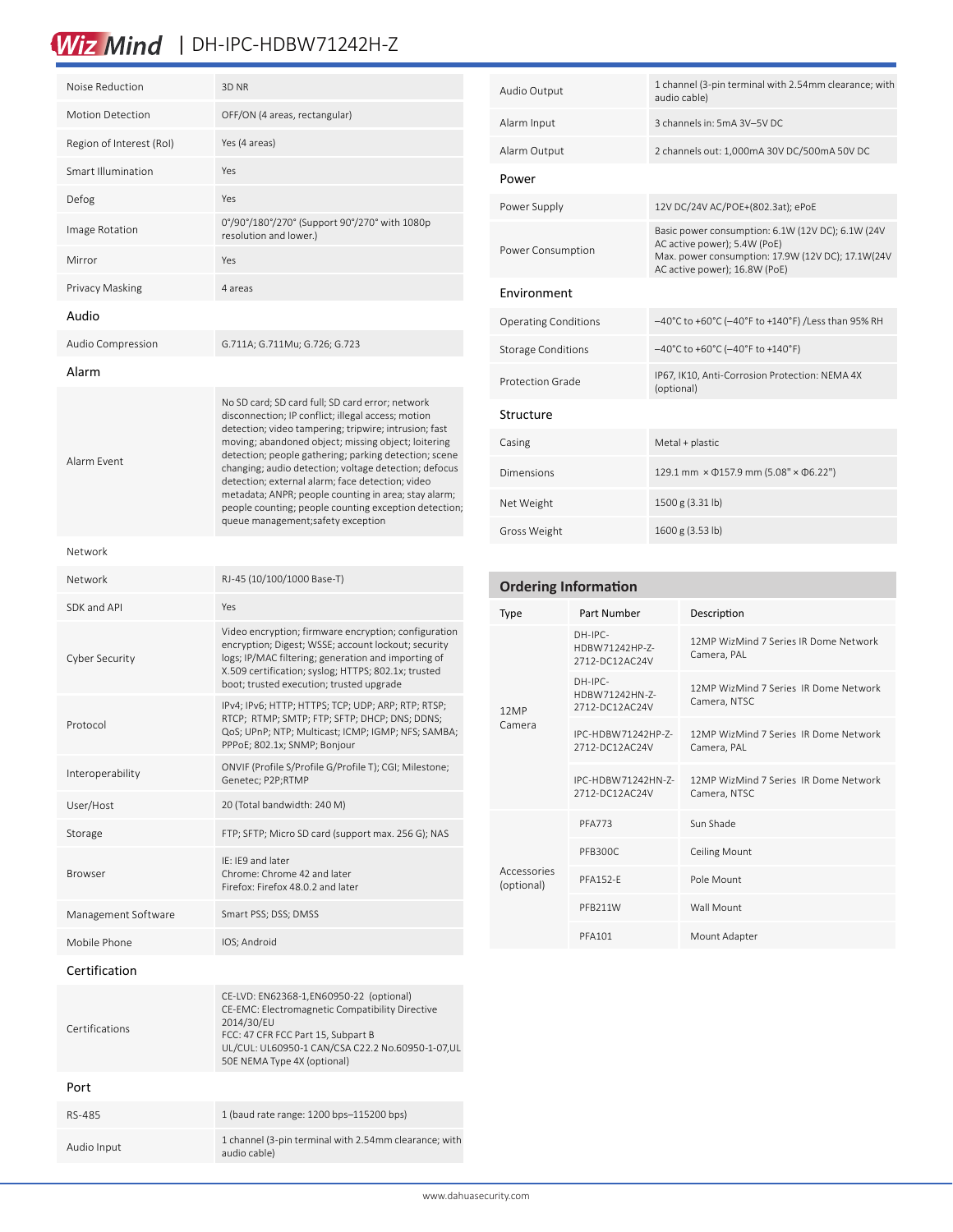# Wiz Mind | DH-IPC-HDBW71242H-Z

| Noise Reduction          | 3D NR                                                                                                                                                                                                                                                                                                                                                                                                                                                                                                                                               |  |  |
|--------------------------|-----------------------------------------------------------------------------------------------------------------------------------------------------------------------------------------------------------------------------------------------------------------------------------------------------------------------------------------------------------------------------------------------------------------------------------------------------------------------------------------------------------------------------------------------------|--|--|
| <b>Motion Detection</b>  | OFF/ON (4 areas, rectangular)                                                                                                                                                                                                                                                                                                                                                                                                                                                                                                                       |  |  |
| Region of Interest (RoI) | Yes (4 areas)                                                                                                                                                                                                                                                                                                                                                                                                                                                                                                                                       |  |  |
| Smart Illumination       | Yes                                                                                                                                                                                                                                                                                                                                                                                                                                                                                                                                                 |  |  |
| Defog                    | Yes                                                                                                                                                                                                                                                                                                                                                                                                                                                                                                                                                 |  |  |
| Image Rotation           | 0°/90°/180°/270° (Support 90°/270° with 1080p<br>resolution and lower.)                                                                                                                                                                                                                                                                                                                                                                                                                                                                             |  |  |
| Mirror                   | Yes                                                                                                                                                                                                                                                                                                                                                                                                                                                                                                                                                 |  |  |
| Privacy Masking          | 4 areas                                                                                                                                                                                                                                                                                                                                                                                                                                                                                                                                             |  |  |
| Audio                    |                                                                                                                                                                                                                                                                                                                                                                                                                                                                                                                                                     |  |  |
| Audio Compression        | G.711A; G.711Mu; G.726; G.723                                                                                                                                                                                                                                                                                                                                                                                                                                                                                                                       |  |  |
| Alarm                    |                                                                                                                                                                                                                                                                                                                                                                                                                                                                                                                                                     |  |  |
| Alarm Event              | No SD card; SD card full; SD card error; network<br>disconnection; IP conflict; illegal access; motion<br>detection; video tampering; tripwire; intrusion; fast<br>moving; abandoned object; missing object; loitering<br>detection; people gathering; parking detection; scene<br>changing; audio detection; voltage detection; defocus<br>detection; external alarm; face detection; video<br>metadata; ANPR; people counting in area; stay alarm;<br>people counting; people counting exception detection;<br>queue management; safety exception |  |  |
| Network                  |                                                                                                                                                                                                                                                                                                                                                                                                                                                                                                                                                     |  |  |
| Network                  | RJ-45 (10/100/1000 Base-T)                                                                                                                                                                                                                                                                                                                                                                                                                                                                                                                          |  |  |
| SDK and API              | Yes                                                                                                                                                                                                                                                                                                                                                                                                                                                                                                                                                 |  |  |
| Cyber Security           | Video encryption; firmware encryption; configuration<br>encryption; Digest; WSSE; account lockout; security<br>logs; IP/MAC filtering; generation and importing of<br>X.509 certification; syslog; HTTPS; 802.1x; trusted<br>boot; trusted execution; trusted upgrade                                                                                                                                                                                                                                                                               |  |  |
| Protocol                 | IPv4; IPv6; HTTP; HTTPS; TCP; UDP; ARP; RTP; RTSP;<br>RTCP; RTMP; SMTP; FTP; SFTP; DHCP; DNS; DDNS;<br>QoS; UPnP; NTP; Multicast; ICMP; IGMP; NFS; SAMBA;<br>PPPoE; 802.1x; SNMP; Bonjour                                                                                                                                                                                                                                                                                                                                                           |  |  |
| Interoperability         | ONVIF (Profile S/Profile G/Profile T); CGI; Milestone;<br>Genetec; P2P;RTMP                                                                                                                                                                                                                                                                                                                                                                                                                                                                         |  |  |
| User/Host                | 20 (Total bandwidth: 240 M)                                                                                                                                                                                                                                                                                                                                                                                                                                                                                                                         |  |  |
| Storage                  | FTP; SFTP; Micro SD card (support max. 256 G); NAS                                                                                                                                                                                                                                                                                                                                                                                                                                                                                                  |  |  |
| <b>Browser</b>           | IE: IE9 and later<br>Chrome: Chrome 42 and later<br>Firefox: Firefox 48.0.2 and later                                                                                                                                                                                                                                                                                                                                                                                                                                                               |  |  |
| Management Software      | Smart PSS; DSS; DMSS                                                                                                                                                                                                                                                                                                                                                                                                                                                                                                                                |  |  |
| Mobile Phone             | IOS; Android                                                                                                                                                                                                                                                                                                                                                                                                                                                                                                                                        |  |  |
| Certification            |                                                                                                                                                                                                                                                                                                                                                                                                                                                                                                                                                     |  |  |
| Certifications           | CE-LVD: EN62368-1, EN60950-22 (optional)<br>CE-EMC: Electromagnetic Compatibility Directive<br>2014/30/EU<br>47 CER ECC Dort 1E Subnart P                                                                                                                                                                                                                                                                                                                                                                                                           |  |  |

FCC: 47 CFR FCC Part 15, Subpart B

50E NEMA Type 4X (optional)

RS-485 1 (baud rate range: 1200 bps–115200 bps)

Audio Input 1 channel (3-pin terminal with 2.54mm clearance; with audio cable)

Port

UL/CUL: UL60950-1 CAN/CSA C22.2 No.60950-1-07,UL

| Audio Output                | 1 channel (3-pin terminal with 2.54mm clearance; with<br>audio cable)                                                                                                   |  |  |
|-----------------------------|-------------------------------------------------------------------------------------------------------------------------------------------------------------------------|--|--|
| Alarm Input                 | 3 channels in: 5mA 3V-5V DC                                                                                                                                             |  |  |
| Alarm Output                | 2 channels out: 1,000mA 30V DC/500mA 50V DC                                                                                                                             |  |  |
| Power                       |                                                                                                                                                                         |  |  |
| Power Supply                | 12V DC/24V AC/POE+(802.3at); ePoE                                                                                                                                       |  |  |
| Power Consumption           | Basic power consumption: 6.1W (12V DC); 6.1W (24V<br>AC active power); 5.4W (PoE)<br>Max. power consumption: 17.9W (12V DC); 17.1W(24V<br>AC active power); 16.8W (PoE) |  |  |
| Environment                 |                                                                                                                                                                         |  |  |
| <b>Operating Conditions</b> | -40°C to +60°C (-40°F to +140°F) /Less than 95% RH                                                                                                                      |  |  |
| <b>Storage Conditions</b>   | $-40^{\circ}$ C to +60 $^{\circ}$ C (-40 $^{\circ}$ F to +140 $^{\circ}$ F)                                                                                             |  |  |
| Protection Grade            | IP67, IK10, Anti-Corrosion Protection: NEMA 4X<br>(optional)                                                                                                            |  |  |
| Structure                   |                                                                                                                                                                         |  |  |
| Casing                      | Metal + plastic                                                                                                                                                         |  |  |
| Dimensions                  | 129.1 mm × 0157.9 mm (5.08" × 06.22")                                                                                                                                   |  |  |
| Net Weight                  | 1500 g (3.31 lb)                                                                                                                                                        |  |  |
| Gross Weight                | 1600 g (3.53 lb)                                                                                                                                                        |  |  |

| <b>Ordering Information</b> |                                               |                                                       |  |  |
|-----------------------------|-----------------------------------------------|-------------------------------------------------------|--|--|
| <b>Type</b>                 | Part Number                                   | Description                                           |  |  |
| 12MP<br>Camera              | $DH-IPC-$<br>HDBW71242HP-7-<br>2712-DC12AC24V | 12MP WizMind 7 Series IR Dome Network<br>Camera, PAL  |  |  |
|                             | $DH-IPC-$<br>HDBW71242HN-7-<br>2712-DC12AC24V | 12MP WizMind 7 Series IR Dome Network<br>Camera, NTSC |  |  |
|                             | IPC-HDBW71242HP-7-<br>2712-DC12AC24V          | 12MP WizMind 7 Series IR Dome Network<br>Camera, PAL  |  |  |
|                             | IPC-HDBW71242HN-7-<br>2712-DC12AC24V          | 12MP WizMind 7 Series IR Dome Network<br>Camera, NTSC |  |  |
| Accessories<br>(optional)   | PFA773                                        | Sun Shade                                             |  |  |
|                             | PFB300C                                       | <b>Ceiling Mount</b>                                  |  |  |
|                             | <b>PFA152-F</b>                               | Pole Mount                                            |  |  |
|                             | PFB211W                                       | Wall Mount                                            |  |  |
|                             | <b>PFA101</b>                                 | Mount Adapter                                         |  |  |